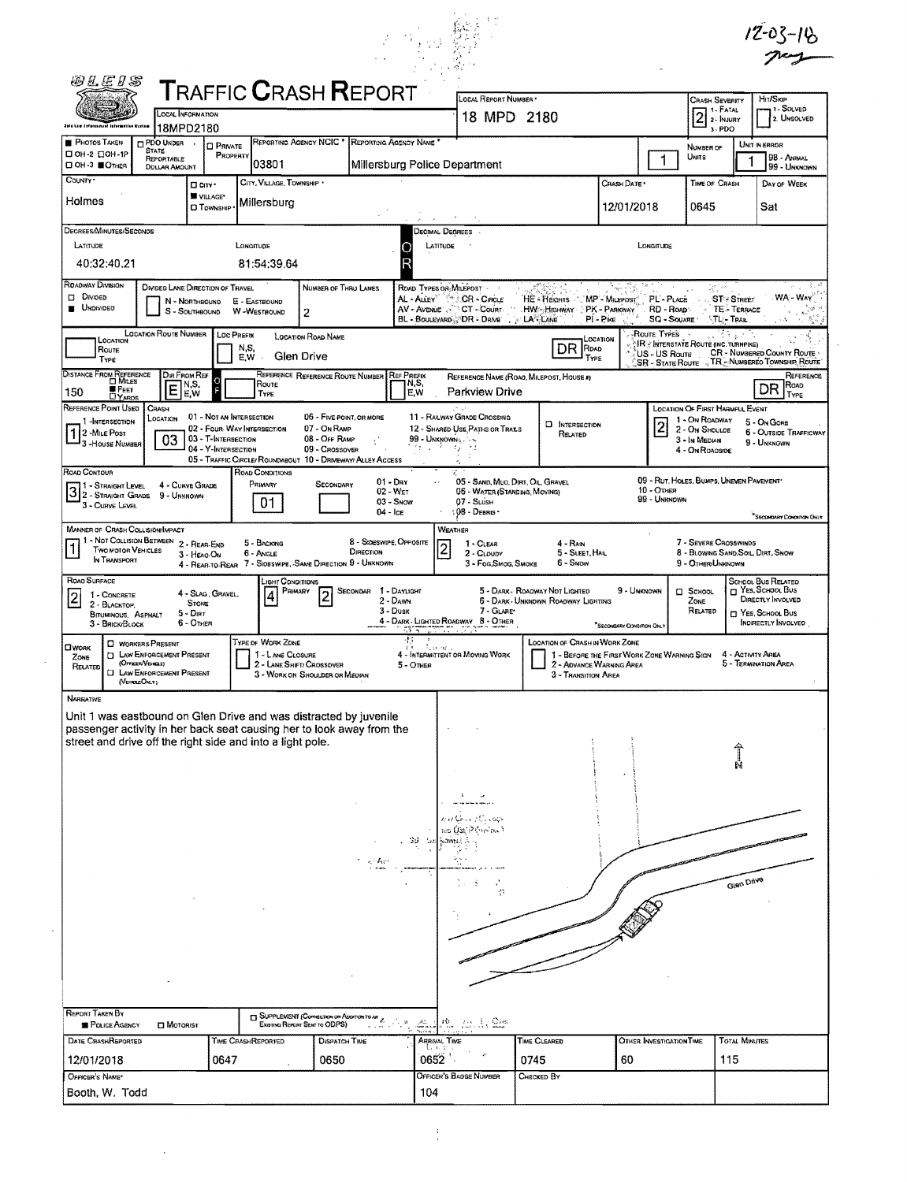|                                                              | <b>@LEIS</b>                                                                         |                                                                                                                  |                                                                        |                   |                                                                                                                                                                                                          |                                                                             |                       |                                                            |                                  |                                                                                            |                                                                                       |                                                                                                                                  |                                          |                                                                          |                                                                                                         |                                                | $12 - 03 - 16$                                                                                                         |
|--------------------------------------------------------------|--------------------------------------------------------------------------------------|------------------------------------------------------------------------------------------------------------------|------------------------------------------------------------------------|-------------------|----------------------------------------------------------------------------------------------------------------------------------------------------------------------------------------------------------|-----------------------------------------------------------------------------|-----------------------|------------------------------------------------------------|----------------------------------|--------------------------------------------------------------------------------------------|---------------------------------------------------------------------------------------|----------------------------------------------------------------------------------------------------------------------------------|------------------------------------------|--------------------------------------------------------------------------|---------------------------------------------------------------------------------------------------------|------------------------------------------------|------------------------------------------------------------------------------------------------------------------------|
|                                                              |                                                                                      | LOCAL INFORMATION                                                                                                |                                                                        |                   | <b>TRAFFIC CRASH REPORT</b>                                                                                                                                                                              |                                                                             |                       |                                                            |                                  | LOCAL REPORT NUMBER *<br>18 MPD 2180                                                       |                                                                                       |                                                                                                                                  |                                          |                                                                          | <b>CRASH SEVERITY</b><br>$21. FATAL$<br>$2. InJURY$                                                     |                                                | <b>HIT/SKIP</b><br>-, 1 - Solved<br>2. UNSOLVED                                                                        |
| <b>PHOTOS TAKEN</b>                                          | data Low Enforcement Information System                                              | 18MPD2180<br>PDO UNDER                                                                                           |                                                                        | <b>Q PRIVATE</b>  | REPORTING AGENCY NCIC * REPORTING AGENCY NAME                                                                                                                                                            |                                                                             |                       |                                                            |                                  |                                                                                            |                                                                                       |                                                                                                                                  |                                          |                                                                          | 3-PDO<br>NUMBER OF                                                                                      |                                                | UNIT IN ERROR                                                                                                          |
| □ 0Н-2 □ 0Н-1Р<br>□ ОН-3 ■ОТНЕЯ                              |                                                                                      | <b>STATE</b><br>REPORTABLE<br><b>DOLLAR AMOUNT</b>                                                               |                                                                        | PROPERTY          | 03801                                                                                                                                                                                                    |                                                                             |                       |                                                            |                                  | Millersburg Police Department                                                              |                                                                                       |                                                                                                                                  |                                          | $\mathbf{1}$                                                             | UNITS                                                                                                   |                                                | 98 - ANIMAL<br>99 - Unknown                                                                                            |
| COUNTY .<br>Holmes                                           |                                                                                      |                                                                                                                  | □ City *<br>W VILLAGE*<br><b>CI</b> TOWNSHIP                           |                   | CITY, VILLAGE, TOWNSHIP<br>Millersburg                                                                                                                                                                   |                                                                             |                       |                                                            |                                  |                                                                                            |                                                                                       |                                                                                                                                  | CRASH DATE<br>12/01/2018                 |                                                                          | TIME OF CRASH<br>0645                                                                                   |                                                | DAY OF WEEK<br>Sat                                                                                                     |
|                                                              | DEGREES/MINUTES/SECONDS                                                              |                                                                                                                  |                                                                        |                   |                                                                                                                                                                                                          |                                                                             |                       |                                                            | Decimal Degrees                  |                                                                                            |                                                                                       |                                                                                                                                  |                                          |                                                                          |                                                                                                         |                                                |                                                                                                                        |
| LATITUDE                                                     | 40:32:40.21                                                                          |                                                                                                                  |                                                                        |                   | LONGITUDE<br>81:54:39.64                                                                                                                                                                                 |                                                                             |                       |                                                            | LATITUDE                         |                                                                                            |                                                                                       |                                                                                                                                  |                                          | LONGITUDE                                                                |                                                                                                         |                                                |                                                                                                                        |
| <b>ROADWAY DIVISION</b><br>$D$ Divided<br><b>E</b> UNDIVIDEO |                                                                                      | DIVIDED LANE DIRECTION OF TRAVEL                                                                                 | N - NORTHBOUND<br>S - SOUTHBOUND                                       |                   | E - EASTBOUND<br>W-WESTBOUND                                                                                                                                                                             | NUMBER OF THRU LANES<br>2                                                   |                       |                                                            |                                  | ROAD TYPES OR MILEPOST<br>AL - ALLEY " SCR - CIRCLE<br>BL - BOULEVARD OR - DRIVE . LA LANE | HE - Heights MP - Milepost<br>AV AVENUE T CT COURT HWY HIGHWAY PK - PARKWAY RD - ROAD | $PI - P$ ike                                                                                                                     |                                          | PL'-PLACE<br><b>SQ - SOUARE</b>                                          |                                                                                                         | <b>ST-STREET</b><br>TE - TERRACE<br>∖TL:- Trae | WA - WAY<br>-A                                                                                                         |
|                                                              | LOCATION<br>ROUTE<br>TYPE                                                            | LOCATION ROUTE NUMBER                                                                                            |                                                                        | <b>LOC PREFIX</b> | N,S,<br>E.W                                                                                                                                                                                              | LOCATION ROAD NAME<br>Glen Drive                                            |                       |                                                            |                                  |                                                                                            |                                                                                       | LOCATION<br>DR ROAD<br>TYPE                                                                                                      |                                          | Route Types<br>» NR ÷ INTERSTATE ROUTÉ (INC. TURNPIKE)<br>US - US Route  |                                                                                                         |                                                | <b>CR - NUMBERED COUNTY ROUTE</b>                                                                                      |
| 150                                                          | <b>DISTANCE FROM REFERENCE</b><br><b>CI Min.es</b><br><b>E</b> FEET<br><b>DYARDS</b> | Dia From Ref<br>E                                                                                                | ]N,S,<br>]E,W                                                          |                   | Route<br>TYPE                                                                                                                                                                                            | REFERENCE REFERENCE ROUTE NUMBER                                            |                       | REF PREFIX<br>N,S,<br>E.W                                  |                                  | Parkview Drive                                                                             | REFERENCE NAME (ROAO, MILEPOST, HOUSE #)                                              |                                                                                                                                  |                                          | SR - STATE ROUTE V TR - NUMBEREO TOWNSHIP ROUTE                          |                                                                                                         |                                                | REFERENCE<br>ROAD<br>DR.<br>TYPE                                                                                       |
| REFERENCE POINT USED<br>1 2 - Mile Post                      | 1 -INTERSECTION<br>3 - HOUSE NUMBER                                                  | CRASH<br>LOCATION<br>03                                                                                          | 01 - Not an Intersection<br>03 - T-INTERSECTION<br>04 - Y-INTERSECTION |                   | 02 - FOUR WAY INTERSECTION                                                                                                                                                                               | 06 - FIVE POINT, OR MORE<br>07 - On RAMP<br>08 - OFF RAMP<br>09 - CROSSOVER |                       | 73 L.                                                      | 99 - UNKNOWN & Case              | 11 - RAILWAY GRADE CROSSING<br>12 - SHARED USE PATHS OR TRAILS<br>$t_f \geq t$             |                                                                                       | <b>D</b> INTERSECTION<br>RELATED                                                                                                 |                                          |                                                                          | LOCATION OF FIRST HARMFUL EVENT<br>1 - On ROADWAY<br>2 - On Shoulde<br>3 - In MEDIAN<br>4 - On ROADSIDE |                                                | 5 - On GORE<br>6 - OUTSIDE TRAFFICWAY<br>9 - UNKNOWN                                                                   |
| ROAD CONTOUR                                                 | 11 - Straight Level<br>3 - CURVE LEVEL                                               | 4 - CURVE GRADE<br>$3^{1 \cdot \text{SIRAIGHT Green}}_{2 \cdot \text{StrAIGHT GRAPH} \atop \text{Cimer length}}$ |                                                                        |                   | 05 - TRAFFIC CIRCLE/ ROUNDABOUT 10 - DRIVEWAY/ ALLEY ACCESS<br>ROAD CONDITIONS<br>PRIMARY<br>01                                                                                                          | SECONDARY                                                                   |                       | $01 - \text{Dar}$<br>02 - WET<br>$03 -$ Snow<br>$04 - 1cE$ |                                  | 06 - WATER (STANDING, MOVING)<br>07 - SLUSH<br>$:08 -$ DEBRIS                              | 05 - SAND, MUO, DIRT, OIL, GRAVEL                                                     |                                                                                                                                  |                                          | 09 - RUT, HOLES, BUMPS, UNEVEN PAVEMENT*<br>$10 -$ OTHER<br>99 - UNKNOWN |                                                                                                         |                                                |                                                                                                                        |
|                                                              | <b>TWO MOTOR VEHICLES</b><br>IN TRANSPORT                                            | <b>MANNER OF CRASH COLLISION/IMPACT</b><br>1 - Not Collision Between 2 - Rear-End                                | 3 - Heag On                                                            |                   | 5 - BACKING<br>$6 -$ ANGLE<br>4 - REAR-TO-REAR 7 - SIDESWIPE, SAME DIRECTION 9 - UNKNOWN                                                                                                                 |                                                                             | DIRECTION             | 8 - Sideswipe, Opposite                                    | <b>WEATHER</b><br>$\overline{2}$ | 1 - CLEAR<br>2 - CLOUDY<br>3 - Fog, Smog, Smoke                                            |                                                                                       | $4 - R$ AiN<br>5 - SLEET, HAIL<br>6 - Snow                                                                                       |                                          |                                                                          | 7 - SEVERE CROSSWINDS<br>8 - BLOWING SAND, SOIL, DIRT, SNOW<br>9 - OTHER/UNKNOWN                        |                                                | SECONDARY CONDITION ONL                                                                                                |
| ROAD SURFACE<br> 2                                           | 1 - CONCRETE<br>2 - BLACKTOP,<br><b>BITUMINOUS. ASPHALT</b><br>3 - BRICK/BLOCK       |                                                                                                                  | 4 - SLAG, GRAVEL<br><b>STONE</b><br>$5 - DIRT$<br>6 - OTHER            |                   | LIGHT CONDITIONS<br>PRIMARY                                                                                                                                                                              | $\sqrt{2}$                                                                  | SECONDAR 1 - DAYLIGHT | $2 -$ Dawn<br>3 - Dusk<br>51 T                             | $\cdots$                         | 7 - GLARE*<br>4 - DARK - LIGHTED ROADWAY 8 - OTHER                                         | 5 - DARK - ROADWAY NOT LIGHTED<br>6 - DARK - UNKNOWN ROADWAY LIGHTING                 |                                                                                                                                  | 9 - UNKNOWN<br>*SECONDARY CONGITION ONLY |                                                                          | $\Box$ SCHOOL<br>ZONE<br>RELATED                                                                        |                                                | <b>SCHOOL BUS RELATED</b><br>T YES, SCHOOL BUS<br>DIRECTLY INVOLVED<br>m YES. SCHOOL BUS<br><b>INDIRECTLY INVOLVED</b> |
| Пиояк<br>ZONE<br>RELATED                                     | (OFFICER/VEHICLE)<br>(VEHICLEOMY)                                                    | <b>C WORKERS PRESENT</b><br><b>D</b> LAW ENFORCEMENT PRESENT<br>O LAW ENFORGEMENT PRESENT                        |                                                                        |                   | TYPE OF WORK ZONE<br>1 - LANE CLOSURE<br>2 - LANE SHIFT/ CROSSOVER                                                                                                                                       | 3 - WORK ON SHOULDER OR MEDIAN                                              |                       | $5 -$ OTHER                                                | Australia                        | 4 - Intermittent or Moving Work                                                            |                                                                                       | LOCATION OF CRASH IN WORK ZONE<br>1 - BEFORE THE FIRST WORK ZONE WARNING SIGN<br>2 - ADVANCE WARNING AREA<br>3 - TRANSITION AREA |                                          |                                                                          |                                                                                                         | 4 - ACTIVITY AREA                              | 5 - TERMINATION AREA                                                                                                   |
| NARRATIVE                                                    |                                                                                      |                                                                                                                  |                                                                        |                   | Unit 1 was eastbound on Glen Drive and was distracted by juvenile<br>passenger activity in her back seat causing her to look away from the<br>street and drive off the right side and into a light pole. |                                                                             |                       |                                                            |                                  | e er Chang (Calego)                                                                        |                                                                                       |                                                                                                                                  |                                          |                                                                          |                                                                                                         |                                                |                                                                                                                        |
|                                                              |                                                                                      |                                                                                                                  |                                                                        |                   |                                                                                                                                                                                                          |                                                                             | ਤ੍ਰਾਂ ਕਿਸ             | -39 U                                                      | OWN !                            | tes Ust Princes 1                                                                          |                                                                                       |                                                                                                                                  |                                          |                                                                          |                                                                                                         | Glen Drive                                     |                                                                                                                        |
|                                                              |                                                                                      |                                                                                                                  |                                                                        |                   |                                                                                                                                                                                                          |                                                                             |                       |                                                            |                                  |                                                                                            |                                                                                       |                                                                                                                                  |                                          |                                                                          |                                                                                                         |                                                |                                                                                                                        |
|                                                              |                                                                                      |                                                                                                                  |                                                                        |                   |                                                                                                                                                                                                          |                                                                             |                       |                                                            |                                  |                                                                                            |                                                                                       |                                                                                                                                  |                                          |                                                                          |                                                                                                         |                                                |                                                                                                                        |
|                                                              |                                                                                      |                                                                                                                  |                                                                        |                   |                                                                                                                                                                                                          |                                                                             |                       |                                                            |                                  |                                                                                            |                                                                                       |                                                                                                                                  |                                          |                                                                          |                                                                                                         |                                                |                                                                                                                        |
| <b>REPORT TAKEN BY</b>                                       | POLICE AGENCY<br>DATE CRASHREPORTED                                                  | <b>D</b> MOTORIST                                                                                                |                                                                        |                   | <b>BUPPLEMENT (CONNECTION ON ADDITION OF A</b><br>TIME CRASHREPORTED                                                                                                                                     | Existing Report Sent to ODPS)<br>DISPATCH TIME                              |                       | iate<br>Noon                                               | ARRIVAL TIME                     | 麗 出志 sta                                                                                   | TIME CLEARED                                                                          |                                                                                                                                  |                                          | OTHER INVESTIGATION TIME                                                 |                                                                                                         | <b>TOTAL MINUTES</b>                           |                                                                                                                        |

 $\sim 10^{11}$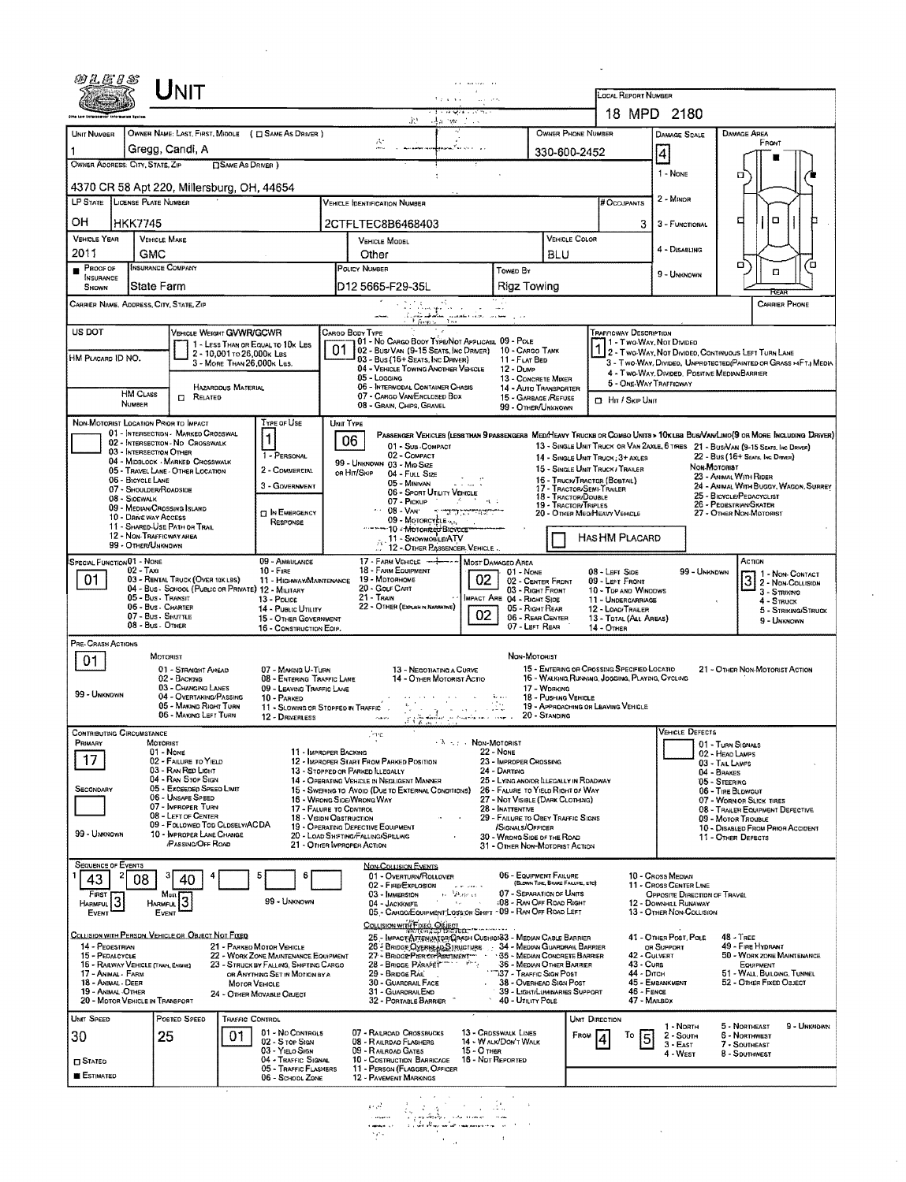| 892.E8S                                                                                              |                                                                                                                  |                                                                                                                                                                                                                                                                                       |                           |                                                                                                                                                                            |                                                                                                          |                                                                                                                                                                                                                                                                                                   | and consideration and                                                                 |                                                                                                                                                                                                                                                                                                                      |                               |                                             |                                                                                                                                                                                                                                                         |                                                                                                                                                                                                         |                                                                                                              |                                                                                                                                               |                                                                                |  |
|------------------------------------------------------------------------------------------------------|------------------------------------------------------------------------------------------------------------------|---------------------------------------------------------------------------------------------------------------------------------------------------------------------------------------------------------------------------------------------------------------------------------------|---------------------------|----------------------------------------------------------------------------------------------------------------------------------------------------------------------------|----------------------------------------------------------------------------------------------------------|---------------------------------------------------------------------------------------------------------------------------------------------------------------------------------------------------------------------------------------------------------------------------------------------------|---------------------------------------------------------------------------------------|----------------------------------------------------------------------------------------------------------------------------------------------------------------------------------------------------------------------------------------------------------------------------------------------------------------------|-------------------------------|---------------------------------------------|---------------------------------------------------------------------------------------------------------------------------------------------------------------------------------------------------------------------------------------------------------|---------------------------------------------------------------------------------------------------------------------------------------------------------------------------------------------------------|--------------------------------------------------------------------------------------------------------------|-----------------------------------------------------------------------------------------------------------------------------------------------|--------------------------------------------------------------------------------|--|
| UNIT<br>5.2.4.4.4.1<br>a dia kaominina mp                                                            |                                                                                                                  |                                                                                                                                                                                                                                                                                       |                           |                                                                                                                                                                            |                                                                                                          |                                                                                                                                                                                                                                                                                                   |                                                                                       |                                                                                                                                                                                                                                                                                                                      |                               |                                             | <b>LOCAL REPORT NUMBER</b><br>18 MPD 2180                                                                                                                                                                                                               |                                                                                                                                                                                                         |                                                                                                              |                                                                                                                                               |                                                                                |  |
| te tee taferne                                                                                       |                                                                                                                  |                                                                                                                                                                                                                                                                                       |                           |                                                                                                                                                                            |                                                                                                          |                                                                                                                                                                                                                                                                                                   | 第2回 清光 web 1000                                                                       |                                                                                                                                                                                                                                                                                                                      |                               |                                             |                                                                                                                                                                                                                                                         |                                                                                                                                                                                                         |                                                                                                              |                                                                                                                                               |                                                                                |  |
| UNIT NUMBER                                                                                          |                                                                                                                  | Gregg, Candi, A                                                                                                                                                                                                                                                                       |                           | OWNER NAME: LAST, FIRST, MIDDLE ( C SAME AS DRIVER )                                                                                                                       |                                                                                                          | А.                                                                                                                                                                                                                                                                                                | asana <sup>y</sup> a kumu n                                                           |                                                                                                                                                                                                                                                                                                                      |                               | OWNER PHONE NUMBER<br>330-600-2452          |                                                                                                                                                                                                                                                         | <b>DAMAGE SCALE</b><br> 4                                                                                                                                                                               |                                                                                                              | <b>DAMAGE AREA</b><br>FRONT                                                                                                                   |                                                                                |  |
|                                                                                                      | OWNER ADDRESS: CITY, STATE, ZIP<br><b>CISAME AS DRIVER</b> )<br>4370 CR 58 Apt 220, Millersburg, OH, 44654       |                                                                                                                                                                                                                                                                                       |                           |                                                                                                                                                                            |                                                                                                          |                                                                                                                                                                                                                                                                                                   |                                                                                       |                                                                                                                                                                                                                                                                                                                      |                               |                                             |                                                                                                                                                                                                                                                         | 1 - NONE                                                                                                                                                                                                |                                                                                                              | α                                                                                                                                             |                                                                                |  |
| LP STATE LICENSE PLATE NUMBER                                                                        |                                                                                                                  |                                                                                                                                                                                                                                                                                       |                           |                                                                                                                                                                            |                                                                                                          | <b>VEHICLE IDENTIFICATION NUMBER</b>                                                                                                                                                                                                                                                              |                                                                                       |                                                                                                                                                                                                                                                                                                                      |                               |                                             | # Occupants                                                                                                                                                                                                                                             | 2 - MINOR                                                                                                                                                                                               |                                                                                                              |                                                                                                                                               |                                                                                |  |
| он                                                                                                   | <b>HKK7745</b>                                                                                                   |                                                                                                                                                                                                                                                                                       |                           |                                                                                                                                                                            |                                                                                                          | 2CTFLTEC8B6468403                                                                                                                                                                                                                                                                                 |                                                                                       |                                                                                                                                                                                                                                                                                                                      |                               |                                             | 3                                                                                                                                                                                                                                                       | о<br>□                                                                                                                                                                                                  |                                                                                                              |                                                                                                                                               |                                                                                |  |
| <b>VEHICLE YEAR</b><br>2011                                                                          | <b>GMC</b>                                                                                                       | <b>VEHICLE MAKE</b>                                                                                                                                                                                                                                                                   |                           |                                                                                                                                                                            |                                                                                                          | VEHICLE MODEL<br>Other                                                                                                                                                                                                                                                                            | BLU                                                                                   |                                                                                                                                                                                                                                                                                                                      |                               | <b>VEHICLE COLOR</b>                        |                                                                                                                                                                                                                                                         | 4 - DISABLING                                                                                                                                                                                           |                                                                                                              |                                                                                                                                               |                                                                                |  |
| $P_{\text{ROOF OF}}$<br><b>INSURANCE</b>                                                             |                                                                                                                  | <b>INSURANCE COMPANY</b>                                                                                                                                                                                                                                                              |                           |                                                                                                                                                                            |                                                                                                          | POLICY NUMBER                                                                                                                                                                                                                                                                                     |                                                                                       | TOWED BY                                                                                                                                                                                                                                                                                                             |                               |                                             |                                                                                                                                                                                                                                                         | 9 - UNKNOWN                                                                                                                                                                                             |                                                                                                              | α,<br>□                                                                                                                                       | ′¤                                                                             |  |
| SHOWN                                                                                                |                                                                                                                  | <b>State Farm</b><br>CARRIER NAME, AODRESS, CITY, STATE, ZIP                                                                                                                                                                                                                          |                           |                                                                                                                                                                            |                                                                                                          | D12 5665-F29-35L                                                                                                                                                                                                                                                                                  | $\sim$ $\sim$                                                                         | Rigz Towing                                                                                                                                                                                                                                                                                                          |                               |                                             |                                                                                                                                                                                                                                                         |                                                                                                                                                                                                         |                                                                                                              | RFAR                                                                                                                                          | <b>CARRIER PHONE</b>                                                           |  |
| US DOT                                                                                               |                                                                                                                  | VEHICLE WEIGHT GWWR/GCWR                                                                                                                                                                                                                                                              |                           |                                                                                                                                                                            | CARGO BODY TYPE                                                                                          | t finns                                                                                                                                                                                                                                                                                           | لساوين الجزؤة القاسين سائمهم تتأمرق                                                   |                                                                                                                                                                                                                                                                                                                      |                               |                                             | TRAFFICWAY DESCRIPTION                                                                                                                                                                                                                                  |                                                                                                                                                                                                         |                                                                                                              |                                                                                                                                               |                                                                                |  |
| HM PLACARD ID NO.                                                                                    |                                                                                                                  |                                                                                                                                                                                                                                                                                       | 2 - 10,001 TO 26,000k LBS | 1 - LESS THAN OR EQUAL TO 10K LBS<br>3 - MORE THAN 26.000K LBS.                                                                                                            | 01                                                                                                       | I 01 - No Cargo Booy Type/Not Applicasl 09 - Pole<br>02 - BUS/VAN (9-15 SEATS, INC DRIVER) 10 - CARGO TANK<br>$93$ - Bus (16+ Seats, Inc Driver)<br>04 - VEHICLE TOWING ANOTHER VEHICLE<br>05 - Logging                                                                                           |                                                                                       |                                                                                                                                                                                                                                                                                                                      | 11 - FLAT BED<br>12 - Dump    |                                             |                                                                                                                                                                                                                                                         | 71 - Two-Way, Not Divideo<br>1 2 - TWO-WAY, NOT DIVIDED, CONTINUOUS LEFT TURN LANE<br>3 - Two-Way, Divided, Unprotected (Painted on Grass >4FT.) Media<br>4 - Two-WAY, Divided. Positive Median Barrier |                                                                                                              |                                                                                                                                               |                                                                                |  |
|                                                                                                      | <b>HM CLASS</b><br>NUMBER                                                                                        | <b>CI RELATED</b>                                                                                                                                                                                                                                                                     | HAZARDDUS MATERIAL        |                                                                                                                                                                            |                                                                                                          | 06 - INTERMODAL CONTAINER CHASIS<br>07 - CARGO VAN/ENCLOSED BOX<br>08 - Grain, Chips, Gravel                                                                                                                                                                                                      |                                                                                       | 13 - CONCRETE MIXER<br>14 - AUTO TRANSPORTER<br>15 - GARBAGE /REFUSE<br>99 - O'THER/UNKNOWN                                                                                                                                                                                                                          |                               |                                             | 5 - ONE-WAY TRAFFICWAY<br><b>D</b> Hn / Skip UNIT                                                                                                                                                                                                       |                                                                                                                                                                                                         |                                                                                                              |                                                                                                                                               |                                                                                |  |
|                                                                                                      |                                                                                                                  | NON-MOTORIST LOCATION PRIOR TO IMPACT<br>01 - INTERSECTION - MARKED CROSSWAL                                                                                                                                                                                                          |                           | Type or Use                                                                                                                                                                | UNIT TYPE                                                                                                |                                                                                                                                                                                                                                                                                                   |                                                                                       |                                                                                                                                                                                                                                                                                                                      |                               |                                             | PASSENGER VEHICLES (LESS THAN 9 PASSENGERS MEDIMEANY TRUCKS OR COMBO UNITS > 10KLBS BUS/VAN/LIMO(9 OR MORE INCLUDING DRIVER)                                                                                                                            |                                                                                                                                                                                                         |                                                                                                              |                                                                                                                                               |                                                                                |  |
|                                                                                                      | 03 - INTERSECTION OTHER<br>06 - BICYCLE LANE<br>07 - SHOULDER/ROADSIDE<br>08 - SIDEWALK<br>10 - DRIVE WAY ACCESS | 02 - INTERSECTION - NO CROSSWALK<br>04 - MIDBLOCK - MARKED CROSSWALK<br>05 - TRAVEL LANE - OTHER LOCATION<br>09 - MEDIAN/CROSSING ISLAND<br>11 - SHARED-USE PATH OR TRAIL                                                                                                             |                           | $\mathbf{1}$<br>1 - PERSONAL<br>2 - COMMERCIAL<br>3 - GOVERNMENT<br>$\Box$ In Emergency<br>RESPONSE                                                                        | 06                                                                                                       | 01 - Sub-COMPACT<br>02 - COMPACT<br>99 - UNKNOWN 03 - MID SIZE<br>OR HIT/SKIP 04 - FULL SIZE<br>05 Minivan<br>06 - Sport Utility Vehicle<br>09 - Motorcycle $\alpha_{\alpha}$<br>---- 10 - Moronzed Brevers                                                                                       | $\rightarrow$<br>07 - Pickup Control of Control of Con-                               |                                                                                                                                                                                                                                                                                                                      |                               | 18 - TRACTOR/DOUBLE<br>19 - TRACTOR/TRIPLES | 13 - SINGLE UNIT TRUCK OR VAN ZAXLE, 6 TRIES 21 - BUS/VAN (9-15 SEATS, INC DRIVER)<br>14 - SINGLE UNIT TRUCK: 3+ AXLES<br>15 - SINGLE UNIT TRUCK / TRAILER<br>16 - TRUCK/TRACTOR (BOBTAIL)<br>17 - TRACTOR/SEMI-TRAILER<br>20 - OTHER MEDIMEAVY VEHICLE |                                                                                                                                                                                                         | <b><i><u>Мон-Мотопіат</u></i></b>                                                                            | 22 - Bus (16+ Seats, Inc Direct)<br>23 - ANIMAL WITH RIDER<br>25 - BICYCLE/PEDACYCLIST<br>26 - Pedestrian/Skater<br>27 - Other Non-Motorist   | 24 - ANIMAL WITH BUGGY, WAGON, SURREY                                          |  |
|                                                                                                      | 99 - OTHER/UNKNOWN                                                                                               | 12 - NON-TRAFFICWAY AREA                                                                                                                                                                                                                                                              |                           |                                                                                                                                                                            |                                                                                                          | 11 - SNOWMOBILE/ATV<br>12 - OTHER PASSENGER, VEHICLE                                                                                                                                                                                                                                              |                                                                                       |                                                                                                                                                                                                                                                                                                                      |                               |                                             | <b>HAS HM PLACARD</b>                                                                                                                                                                                                                                   |                                                                                                                                                                                                         |                                                                                                              |                                                                                                                                               |                                                                                |  |
| SPECIAL FUNCTION 01 - NONE<br>01                                                                     | $02 - TAX$                                                                                                       | 03 - RENTAL TRUCK (OVER 10K LBS)<br>04 - Bus - SCHOOL (PUBLIC OR PRIVATE) 12 - MILITARY<br>05 - Bus - Transit<br>06 - Bus - Charter<br>07 - Bus - SHUTTLE<br>08 - Bus - OTHER                                                                                                         |                           | 09 - AMBULANCE<br>$10 -$ FIRE<br>11 - HIGHWAY/MAINTENANCE<br>13 - POLICE<br>14 - PUBLIC UTILITY<br>15 - OTHER GOVERNMENT<br>16 - CONSTRUCTION EDIP.                        |                                                                                                          | 17 - FARM VEHICLE ------<br>18 - FARM EQUIPMENT<br>19 - Мотовноме<br>20 - GOLF CART<br>21 - Train<br>22 - OTHER (EXPLAIN IN NARRATIVE)                                                                                                                                                            | 02<br>02                                                                              | MOST DAMAGED AREA<br>01 - None<br>02 - CENTER FRONT<br>03 - Right Front<br>IMPACT ARE 04 - RIGHT SIDE<br>05 - RIGHT REAR<br>06 - REAR CENTER<br>07 - LEFT REAR                                                                                                                                                       |                               |                                             | 08 - Left Side<br>09 - LEFT FRONT<br>10 - TOP AND WINDOWS<br>11 - UNDERCARRIAGE<br>12 - LOAD/TRAILER<br>13 - TDTAL (ALL AREAS)<br>14 - Отнев                                                                                                            | 99 - UNKNOWN                                                                                                                                                                                            |                                                                                                              | ACTION<br>$3 - S$ TRIKING<br>$4 -$ Struck                                                                                                     | $32 - Non-Contracr$<br>2 - Non-Collision<br>5 - Striking/Struck<br>9 - UNKNOWN |  |
| PRE-CRASH ACTIONS<br>01<br>99 - UNKNOWN                                                              |                                                                                                                  | MOTORIST<br>01 - STRAIGHT AHEAD<br>02 - Васкмо<br>03 - CHANGING LANES<br>04 - OVERTAKING/PASSING<br>05 - MAKING RIGHT TURN<br>06 - MAKING LEFT TURN                                                                                                                                   |                           | 07 - MAKING U-TURN<br>08 - ENTERING TRAFFIC LANE<br>09 - LEAVING TRAFFIC LANE<br>10 - PARKED<br>12 - DRIVERLESS CAPE                                                       |                                                                                                          | ់កាត់                                                                                                                                                                                                                                                                                             | 13 - NEGOTIATING A CURVE<br>14 - OTHER MOTORIST ACTIO<br>last in Angelischen in einer | NON-MOTORIST                                                                                                                                                                                                                                                                                                         | 17 - WDRKING<br>20 - Standing | 18 - PUSHING VEHICLE                        | 15 - ENTERING OR CROSSING SPECIFIED LOCATIO<br>16 - WALKING, RUNNING, JOGGING, PLAYING, CYCLING<br>19 - APPROACHING OR LEAVING VEHICLE                                                                                                                  |                                                                                                                                                                                                         |                                                                                                              | 21 - OTHER NON-MOTORIST ACTION                                                                                                                |                                                                                |  |
| <b>CONTRIBUTING CIRCUMSTANCE</b><br>PRIMARY<br>SECONDARY<br>99 - UNKNOWN                             |                                                                                                                  | MOTORIST<br>$01 - None$<br>02 - FAILURE TO YIELD<br>03 - RAN RED LIGHT<br>04 - RAN STOP SIGN<br>05 - Exceeded Speed Limit<br>06 - UNSAFE SPEED<br>07 - IMPROPER TURN<br>08 - LEFT OF CENTER<br>09 - FOLLOWED TOD CLDSELY/ACDA<br>10 - IMPROPER LANE CHANGE<br><b>PASSING/OFF ROAD</b> |                           |                                                                                                                                                                            | 11 - IMPROPER BACKING<br>17 - FALURE TO CONTROL<br>18 - VISION OBSTRUCTION<br>21 - OTHER IMPROPER ACTION | jme,<br>12 - IMPROPER START FROM PARKED POSITION<br>13 - STOPPED OR PARKED LLEGALLY<br>14 - Operating Vehicle in Negligent Manner<br>15 - Swering to Avoid (Due to External Conditions)<br>15 - WRONG SIDE/WRONG WAY<br>19 - OPERATING DEFECTIVE EQUIPMENT<br>20 - LOAD SHIFTING/FALLING/SPILLING | $\cdots$ $\cdots$ Non-Motorist                                                        | 22 - NONE<br>23 - IMPROPER CROSSING<br>24 - DARTING<br>25 - LYING AND/OR LLEGALLY IN ROADWAY<br>26 - FALURE TO YIELD RIGHT OF WAY<br>27 - NOT VISIBLE (DARK CLOTHING)<br>28 - INATTENTIVE<br>29 - FAILURE TO OBEY TRAFFIC SIGNS<br>/SIGNALS/OFFICER<br>30 - WRDNG SIDE OF THE ROAD<br>31 - OTHER NON-MOTORIST ACTION |                               |                                             |                                                                                                                                                                                                                                                         | <b>VEHICLE DEFECTS</b>                                                                                                                                                                                  | 01 - TURN SIGNALS<br>02 - HEAD LAMPS<br>03 - TAIL LAMPS<br>04 - BRAKES<br>05 - STEERING<br>06 - TIRE BLOWDUT | 07 - WORN OR SLICK TIRES<br>08 - TRAILER EQUIPMENT DEFECTIVE<br>09 - MOTOR TROUBLE<br>10 - DISABLED FROM PRIOR ACCIDENT<br>11 - OTHER DEFECTS |                                                                                |  |
| <b>SEQUENCE OF EVENTS</b><br>43<br>FIRST<br>Harmful<br>EVENT                                         | 08<br>ು                                                                                                          | 40<br>Ması<br>HARMFUL<br>EVENT                                                                                                                                                                                                                                                        |                           | 99 - UNKNOWN                                                                                                                                                               |                                                                                                          | <b>NON-COLLISION EVENTS</b><br>01 - OVERTURN/ROLLOVER<br>02 - FIRE/EXPLOSION<br>03 - IMMERSION<br>04 - JACKKNIFE<br>05 - CARGO/EQUIPMENT LOSS OR SHIFT ~09 - RAN OFF ROAD LEFT<br>COLUSION WITH FIXED Of LEGILOR COLLECTION                                                                       | $\mathbf{z}$ with $\mathbf{z}$<br>as Marcas<br><b>Contract</b>                        | 06 - EQUIPMENT FAILURE<br>07 - SEPARATION OF UNITS<br><b>:08 - RAN OFF ROAD RIGHT</b>                                                                                                                                                                                                                                |                               | (BLOWN TIRE, BRAKE FAILURE, ETC)            |                                                                                                                                                                                                                                                         | 10 - Cross Median<br>11 - Cross CENTER LINE<br>OPPOSITE DIRECTION OF TRAVEL<br>12 - DOWNHEL RUNAWAY<br>13 - OTHER NON-COLLISION                                                                         |                                                                                                              |                                                                                                                                               |                                                                                |  |
| 14 - PEDESTRIAN<br>15 - PEDALCYCLE<br>17 - Animal - Farm<br>18 - ANIMAL - DEER<br>19 - ANIMAL .OTHER | 16 - RAILWAY VEHICLE (TRAIN, ENGINE)<br>20 - MOTOR VEHICLE IN TRANSPORT                                          | COLLISION WITH PERSON, VEHICLE OR OBJECT NOT FIXED                                                                                                                                                                                                                                    | <b>MOTOR VEHICLE</b>      | 21 - PARKED MOTOR VEHICLE<br>22 - WORK ZONE MAINTENANCE EQUIPMENT<br>23 - STRUCK BY FALLING, SHIFTING CARGO<br>OR ANYTHING SET IN MOTION BY A<br>24 - OTHER MOVABLE OBJECT |                                                                                                          | 25 - IMPACTATIENUATER/CASSH CUSHION33 - MEDIAN CABLE BARRIER<br>25 - BRIDGE OVERHEAD STRUCTURE 34 - MEDIAN GUARDRAIL BARRIER<br>28 - BRIDGE PARAPET<br>29 - BRIDGE RAIL<br>30 - GUARDRAIL FACE<br>31 - GUARDRAILEND<br>32 - PORTABLE BARRIER                                                      |                                                                                       | 36 - MEDIAN OTHER BARRIER<br>- 37 - TRAFFIC SIGN POST<br>38 - OVERHEAD SIGN POST<br>39 - LIGHT/LUMINARIES SUPPORT<br>40 - UTILITY POLE                                                                                                                                                                               |                               |                                             | 43 - Cuns<br>44 - Олсн<br>46 - FENCE                                                                                                                                                                                                                    | 41 - OTHER POST, POLE<br>OR SUPPORT<br>42 - CULVERT<br>45 - Емаанкмент<br>47 - MALBOX                                                                                                                   |                                                                                                              | $48 -$ TREE<br>49 - FIRE HYDRANT<br>50 - WORK ZONE MAINTENANCE<br>EQUIPMENT<br>51 - WALL, BUILOING, TUNNEL<br>52 - OTHER FIXED OBJECT         |                                                                                |  |
| UNIT SPEED<br>30<br><b>CI STATED</b><br><b>ESTIMATED</b>                                             |                                                                                                                  | Posted SPEED<br>25                                                                                                                                                                                                                                                                    | TRAFFIC CONTROL<br>01     | 01 - No CONTROLS<br>02 - S rop Sten<br>03 - YIELO SIGN<br>04 - TRAFFIC SIGNAL<br>05 - TRAFFIC FLASHERS<br>06 - SCHOOL ZONE                                                 |                                                                                                          | 07 - RAILROAD CROSSBUCKS<br>08 - RAILRDAD FLASHERS<br>09 - RALROAD GATES<br>10 - Costruction Barricage<br>11 - PERSON (FLAGGER, OFFICER<br><b>12 - PAVEMENT MARKINGS</b>                                                                                                                          | $15 - 0$ Then                                                                         | 13 - CROSSWALK LINES<br>14 - WALK/DON'T WALK<br>16 - Not Reported                                                                                                                                                                                                                                                    |                               | FROM                                        | UNIT DIRECTION<br>Тo<br>15                                                                                                                                                                                                                              | 1 - North<br>2 - South<br>$3 - East$<br>4 - WEST                                                                                                                                                        |                                                                                                              | 5 - NORTHEAST<br><b>6 - NORTHWEST</b><br>7 - SOUTHEAST<br>8 - Southwest                                                                       | 9 - UNKNOWN                                                                    |  |
|                                                                                                      |                                                                                                                  |                                                                                                                                                                                                                                                                                       |                           |                                                                                                                                                                            |                                                                                                          | أحواءها<br>بالإقباض للمرار<br><b>Affairi</b><br>nga.                                                                                                                                                                                                                                              | $\mathcal{L}_\mathbf{r}$                                                              |                                                                                                                                                                                                                                                                                                                      |                               |                                             |                                                                                                                                                                                                                                                         |                                                                                                                                                                                                         |                                                                                                              |                                                                                                                                               |                                                                                |  |

 $\label{eq:2.1} \frac{1}{\sqrt{2}}\int_{\mathbb{R}^3}\frac{1}{\sqrt{2}}\left(\frac{1}{\sqrt{2}}\right)^2\frac{1}{\sqrt{2}}\left(\frac{1}{\sqrt{2}}\right)^2\frac{1}{\sqrt{2}}\left(\frac{1}{\sqrt{2}}\right)^2.$ 

 $\label{eq:2} \frac{1}{2} \sum_{i=1}^n \frac{1}{2} \sum_{j=1}^n \frac{1}{2} \sum_{j=1}^n \frac{1}{2} \sum_{j=1}^n \frac{1}{2} \sum_{j=1}^n \frac{1}{2} \sum_{j=1}^n \frac{1}{2} \sum_{j=1}^n \frac{1}{2} \sum_{j=1}^n \frac{1}{2} \sum_{j=1}^n \frac{1}{2} \sum_{j=1}^n \frac{1}{2} \sum_{j=1}^n \frac{1}{2} \sum_{j=1}^n \frac{1}{2} \sum_{j=1}^n \frac{1}{$ 

 $\mathcal{A}$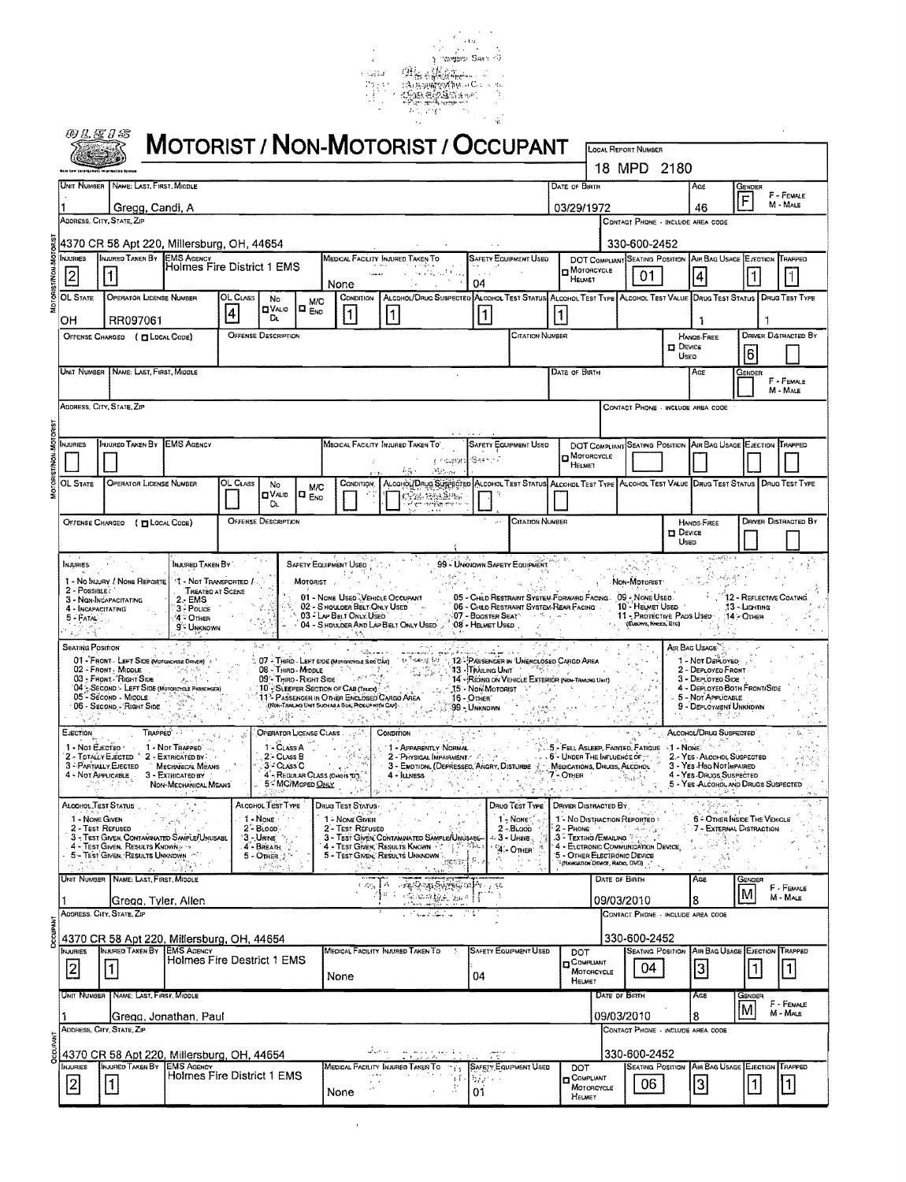

|                | WLEYS                             |                                                                                                                           |                                                                |                             |                                                           |                                  |                                                                                                                                                                                                                                                                                                                                                                                                   | <b>MOTORIST / NON-MOTORIST / OCCUPANT</b>                                                                                                                                                                                                                              |                      |                                                                                                       |         |                                                                                                                      |                                                    |                         |                                                                                   |                                          |                             |
|----------------|-----------------------------------|---------------------------------------------------------------------------------------------------------------------------|----------------------------------------------------------------|-----------------------------|-----------------------------------------------------------|----------------------------------|---------------------------------------------------------------------------------------------------------------------------------------------------------------------------------------------------------------------------------------------------------------------------------------------------------------------------------------------------------------------------------------------------|------------------------------------------------------------------------------------------------------------------------------------------------------------------------------------------------------------------------------------------------------------------------|----------------------|-------------------------------------------------------------------------------------------------------|---------|----------------------------------------------------------------------------------------------------------------------|----------------------------------------------------|-------------------------|-----------------------------------------------------------------------------------|------------------------------------------|-----------------------------|
|                |                                   |                                                                                                                           |                                                                |                             |                                                           |                                  |                                                                                                                                                                                                                                                                                                                                                                                                   |                                                                                                                                                                                                                                                                        |                      |                                                                                                       |         | <b>LOCAL REPORT NUMBER</b>                                                                                           | 18 MPD 2180                                        |                         |                                                                                   |                                          |                             |
|                |                                   | UNIT NUMBER NAME: LAST, FIRST, MIDDLE                                                                                     |                                                                |                             |                                                           |                                  |                                                                                                                                                                                                                                                                                                                                                                                                   |                                                                                                                                                                                                                                                                        |                      |                                                                                                       |         | <b>DATE OF BIRTH</b>                                                                                                 |                                                    |                         | Age                                                                               | GENDER                                   | F - FEMALE                  |
|                |                                   | Gregg, Candi, A<br>ADDRESS, CITY, STATE, ZIP                                                                              |                                                                |                             |                                                           |                                  |                                                                                                                                                                                                                                                                                                                                                                                                   |                                                                                                                                                                                                                                                                        |                      |                                                                                                       |         | 03/29/1972                                                                                                           |                                                    |                         | 46<br>CONTACT PHONE - INCLUDE AREA CODE                                           | F                                        | M - MALE                    |
|                |                                   | 4370 CR 58 Apt 220, Millersburg, OH, 44654                                                                                |                                                                |                             |                                                           |                                  |                                                                                                                                                                                                                                                                                                                                                                                                   |                                                                                                                                                                                                                                                                        |                      |                                                                                                       |         |                                                                                                                      | 330-600-2452                                       |                         |                                                                                   |                                          |                             |
|                | NJURIES<br>2                      | INJURED TAKEN BY EMS AGENCY                                                                                               | Holmes Fire District 1 EMS                                     |                             |                                                           |                                  | None                                                                                                                                                                                                                                                                                                                                                                                              | MEDICAL FACILITY INJURED TAKEN TO<br>法不理性                                                                                                                                                                                                                              | 04                   | SAFETY EQUIPMENT USED                                                                                 |         | DOT COMPLIANT SEATING POSITION AIR BAG USAGE EJECTION TRAPPED<br>MOTORCYCLE<br>HELMET                                | 01                                                 |                         | 4                                                                                 |                                          | l 1                         |
|                | OL STATE                          | <b>OPERATOR LICENSE NUMBER</b><br>RR097061                                                                                |                                                                | OL CLASS<br>$\vert 4 \vert$ | No<br><b>OVALIO</b><br>DL.                                | <b>M/C</b><br>$\square$ $_{ENO}$ | CONDITION<br>1                                                                                                                                                                                                                                                                                                                                                                                    | ALCOHOL/DRUG SUSPECTED ALCOHOL TEST STATUS ALCOHOL TEST TYPE ALCOHOL TEST VALUE DRUG TEST STATUS   DRUG TEST TYPE<br>1                                                                                                                                                 | 1                    |                                                                                                       | $\vert$ |                                                                                                                      |                                                    |                         |                                                                                   |                                          |                             |
|                | он                                | OFFENSE CHARGED ( FILDCAL CODE)                                                                                           |                                                                |                             | <b>OFFENSE DESCRIPTION</b>                                |                                  |                                                                                                                                                                                                                                                                                                                                                                                                   |                                                                                                                                                                                                                                                                        |                      | <b>CITATION NUMBER</b>                                                                                |         |                                                                                                                      |                                                    | <b>D</b> DEVICE         | ı<br><b>HANOS FREE</b>                                                            |                                          | <b>DRIVER DISTRACTED BY</b> |
|                |                                   | Unit Number   Name: Last, First, Middle                                                                                   |                                                                |                             |                                                           |                                  |                                                                                                                                                                                                                                                                                                                                                                                                   |                                                                                                                                                                                                                                                                        |                      |                                                                                                       |         | DATE OF BIRTH                                                                                                        |                                                    | Useo                    | AGE                                                                               | 6<br>Gender                              |                             |
|                |                                   | ADDRESS, CITY, STATE, ZIP                                                                                                 |                                                                |                             |                                                           |                                  |                                                                                                                                                                                                                                                                                                                                                                                                   |                                                                                                                                                                                                                                                                        |                      |                                                                                                       |         |                                                                                                                      |                                                    |                         | CONTACT PHONE - INCLUDE AREA COOE                                                 |                                          | F - FEMALE<br>M - Male      |
|                |                                   |                                                                                                                           |                                                                |                             |                                                           |                                  |                                                                                                                                                                                                                                                                                                                                                                                                   |                                                                                                                                                                                                                                                                        |                      |                                                                                                       |         |                                                                                                                      |                                                    |                         |                                                                                   |                                          |                             |
|                | <b>NJURIES</b>                    | INJURED TAKEN BY IEMS AGENCY                                                                                              |                                                                |                             |                                                           |                                  |                                                                                                                                                                                                                                                                                                                                                                                                   | MEDICAL FACILITY INJURED TAKEN TO                                                                                                                                                                                                                                      | 3 February Bearing   | <b>SAFETY EQUIPMENT USED</b>                                                                          |         | DOT COMPLIANT SEATING POSITION AIR BAG USAGE EJECTION TRAPPED<br>$\Box$ MOTORCYCLE<br>HELMET                         |                                                    |                         |                                                                                   |                                          |                             |
|                | OL State                          | <b>OPERATOR LICENSE NUMBER</b>                                                                                            |                                                                | OL CLASS                    | No.                                                       | <b>M/C</b>                       |                                                                                                                                                                                                                                                                                                                                                                                                   | Marine .<br>五孔 -<br>CONDITION: ALCOHOL/DRUG SUSPECTED ALCOHOL TEST STATUS ALCOHOL TEST TYPE ALCOHOL TEST VALUE DRUG TEST STATUS   DRUG TEST TYPE                                                                                                                       |                      |                                                                                                       |         |                                                                                                                      |                                                    |                         |                                                                                   |                                          |                             |
|                |                                   |                                                                                                                           |                                                                |                             | $\blacksquare$ VALID<br>DL.<br><b>OFFENSE DESCRIPTION</b> | 10 <sub>Eno</sub>                |                                                                                                                                                                                                                                                                                                                                                                                                   | 经银 法跟踪帐户<br>어디에 불량을 이루어졌다.                                                                                                                                                                                                                                             |                      | <b>CITATION NUMBER</b>                                                                                |         |                                                                                                                      |                                                    |                         | HANDS-FREE                                                                        |                                          | <b>DRIVER DISTRACTED BY</b> |
|                |                                   | OFFENSE CHARGED ( TLOCAL CODE)                                                                                            |                                                                |                             |                                                           |                                  |                                                                                                                                                                                                                                                                                                                                                                                                   |                                                                                                                                                                                                                                                                        |                      |                                                                                                       |         |                                                                                                                      |                                                    | <b>D</b> DEVICE<br>Useo |                                                                                   |                                          |                             |
|                | <b>INJURIES</b>                   |                                                                                                                           | INJURED TAKEN BY                                               |                             |                                                           |                                  | SAFETY EQUIPMENT USED                                                                                                                                                                                                                                                                                                                                                                             |                                                                                                                                                                                                                                                                        | Restaurac            | 99 - UNKNOWN SAFETY EQUIPMENT.                                                                        |         |                                                                                                                      |                                                    |                         | والمحافظ والمعاد                                                                  |                                          |                             |
|                | 2 - Possieter                     | 1 - No INJURY / NONE REPORTE<br>3 - Non-Incapacitating                                                                    | '1 - Not Transported /<br><b>TREATED AT SCENE</b><br>$2 - EMS$ |                             |                                                           | <b>MOTORIST</b>                  | 01 - NONE USED VEHICLE OCCUPANT<br>02 - SHOULDER BELT: ONLY USED                                                                                                                                                                                                                                                                                                                                  |                                                                                                                                                                                                                                                                        |                      | 05 - Child Restraint System-Forward Facing. 09 - None Used.<br>06 - CHRD RESTRAINT SYSTEM-REAR FACING |         |                                                                                                                      | Non-Motorist<br>10 - Heumet Used                   |                         |                                                                                   | 12 - REFLECTIVE COATING<br>13 - Liarinna |                             |
|                | 4 - INCAPACITATING<br>$5 - FATAL$ |                                                                                                                           | 3 - Police<br>4 CTHER<br>9 <sup>"</sup> UNKNOWN                |                             |                                                           |                                  | 03 - LAP BELT ONLY USED<br>1890                                                                                                                                                                                                                                                                                                                                                                   | 04 - SHOULDER AND LAP BELT ONLY USED:                                                                                                                                                                                                                                  | 08 - Helmet Used.    | <b>197 - Booster Seat</b> Seat All Agency                                                             |         |                                                                                                                      | 11 - Protective Pads Used<br>-(ELBONS, KNEES, ETC) |                         |                                                                                   | $14 -$ Отнея                             |                             |
|                | <b>SEATING POSITION</b>           | 01 - FRONT - LEFT SIDE (MOTORCYCLE DRIVER) <                                                                              |                                                                |                             | 5. 4                                                      |                                  |                                                                                                                                                                                                                                                                                                                                                                                                   | wana kashiri m<br>07 - THIRD - LERT SIDE (Motorcrout Sine CAR) + 12 SARA (23 - 12 - PASSENGER IN UNENCLOSED CARGO AREA                                                                                                                                                 |                      |                                                                                                       |         |                                                                                                                      |                                                    |                         | AIR BAG USAGE<br>1 - Not DePLOYEO                                                 |                                          |                             |
|                |                                   | 02 - FRONT MIDDLE<br>03 - FRONT - RIGHT SIDE<br>04 - SECOND LEFT SIDE (MOTORCYCLE PASSENGER)                              | 圆螺锯<br>$\gamma_{\rm gas} \dot{\gamma}^2$                       |                             |                                                           |                                  | 10 - SLEEPER SECTION OF CAR (TRUCK)                                                                                                                                                                                                                                                                                                                                                               |                                                                                                                                                                                                                                                                        |                      |                                                                                                       |         | 그 부모는 사람이다.                                                                                                          |                                                    |                         | 2 - DEPLOYEO FRONT<br>3 - DEPLOYEO SIDE<br>4 - DEPLOYED BOTH FRONT/SIDE           |                                          |                             |
|                |                                   | 05 - Second - Middle (1998)<br>06 - Second - Right Side (1999)<br>06 - SECOND, - RIGHT SIDE<br>$\sim 10^{-4}$             |                                                                |                             | 受残期的 不了                                                   |                                  | ١ś,                                                                                                                                                                                                                                                                                                                                                                                               | 19 Southern Secretary Company Company Area<br>11 Presidence IN Orient Enclosed CARGO AREA<br>11 Nov-Taulon University Reserved Company Company Company Company Company<br>12 Company Company Company Company Company Company Company Co                                | Robert Car           |                                                                                                       |         |                                                                                                                      |                                                    |                         | - 5 - Not Applicable<br>9 - DEPLOYMENT UNKNOWN<br>なしいいきすみ                         |                                          |                             |
|                | EJECTION                          | TRAPPED -<br>1 - Not EJECTED                                                                                              | 1 - Not Trapped                                                |                             |                                                           | $1 - C$ LASS $A$                 | OPERATOR LICENSE CLASS<br>$\mathcal{L}(\mathcal{F},\mathcal{F}')$                                                                                                                                                                                                                                                                                                                                 | CONDITION <b>CONDITION</b><br>$\leq 1$ - Apparently Normal $\leq 1$                                                                                                                                                                                                    |                      |                                                                                                       |         | <b>1. Paul Asueer, Fainted, Fatticue 41 - Novier Andrews</b>                                                         |                                                    |                         | ALCOHOL/DRUG SUSPECTED                                                            |                                          |                             |
|                |                                   | 2 - TOTALLY EJECTED : 2 - EXTRICATED BY<br>3 - PARTUALLY EJECTED MECHANICAL MEANS<br>4 - NOT APPLICABLE 3 - EXTRICATED BY |                                                                |                             | 2 - CLASS B<br>3 CLASS C                                  |                                  | $\begin{picture}(130,10) \put(0,0){\line(1,0){10}} \put(15,0){\line(1,0){10}} \put(15,0){\line(1,0){10}} \put(15,0){\line(1,0){10}} \put(15,0){\line(1,0){10}} \put(15,0){\line(1,0){10}} \put(15,0){\line(1,0){10}} \put(15,0){\line(1,0){10}} \put(15,0){\line(1,0){10}} \put(15,0){\line(1,0){10}} \put(15,0){\line(1,0){10}} \put(15,0){\line($<br>$4 -$ Regular Class (Oriois $D_{\text{Q}}$ | $\ell = 2$ - Physical Impairments $\ell_2 \lesssim \ell_1$ , $\ell_2 \lesssim \ell_3$ . Under The Influence of $\ell_1$<br>3 - Emotioni (Depresseo Angry Disturbe J. Medications, Drugs, Alcohol<br>$4 - I_{UNESS}$                                                    |                      |                                                                                                       |         | $7 -$ Other                                                                                                          |                                                    |                         | 2 - YES - ALCOHOL SUSPECTED<br>3 - Yes HBD NOTIMPAIRED<br>4 - Yes-DRugs Suspected |                                          |                             |
|                |                                   |                                                                                                                           | NON-MECHANICAL MEANS                                           |                             |                                                           |                                  | 5 <sup>2</sup> MC/MoPED ONLY<br>- 11                                                                                                                                                                                                                                                                                                                                                              | thank and                                                                                                                                                                                                                                                              | $\mathcal{F}^{(k)}$  | 1만약 : 1 1 , 무້                                                                                        |         |                                                                                                                      | ર વિદેશની વ                                        |                         | 5 - YES ALCOHOL AND DRUGS SUSPECTED<br>ina kacamatan                              |                                          |                             |
|                | 1 - NONE GIVEN                    | ALCOHOL.TEST STATUS<br>2 - Test Refused                                                                                   |                                                                |                             | ALCOHOL TEST TYPE<br>1 1 - None<br>$2 - B$ Loop           |                                  | DRUG TEST STATUS.<br>1 - NONE GIVEN<br>2 - TEST REFUSEO                                                                                                                                                                                                                                                                                                                                           |                                                                                                                                                                                                                                                                        |                      | DRUG TEST TYPE<br>1 - Nove<br>$2 - B$ Loop                                                            |         | DRIVER DISTRACTED BY<br>1 - No Distraction Reported ><br>$2$ - PHONE $\left\{1, \ldots, 1, 2, 3, 5, 6, 7, 8\right\}$ |                                                    |                         | 6 - OTHER INSIDE THE VEHICLE<br>7 - External Distraction                          |                                          |                             |
|                |                                   | 3 - TEST GIVEN, CONTANNATED SAMPLE/UNUSABL<br>4 - TEST GIVEN, RESULTS KNOWN &<br>5 - TEST GIVEN, RESULTS UNKNOWN          |                                                                |                             | $3 -$ URINE<br>4 - BREATH<br>$5 -$ OTHER $\geq$           |                                  |                                                                                                                                                                                                                                                                                                                                                                                                   | 3 - Test Given Contamnated Sample/Unusabl-<br>4 - TEST Given: RESULTS KNOWN<br>5 - TEST Given: RESULTS UNKNOWN<br>5 - TEST Given: RESULTS UNKNOWN                                                                                                                      |                      | ∴ З - Unne (<br>$1.94 -$ OTHER:<br>$\mathcal{F}_{\mathbf{r}}$                                         |         | 3 - Texting / Emailing ? Service<br>4 - ELCTRONIC COMMUNICATION DEVICE<br>'5 - OTHER ELECTRONIC DEVICE               |                                                    |                         | $\mathcal{D} = \frac{1}{2} \mathcal{D}$<br>. 3. s                                 |                                          |                             |
|                |                                   | e gan shirin 1<br>Unit Number   Name: Last, First, Middle                                                                 |                                                                |                             | -25.2-                                                    |                                  |                                                                                                                                                                                                                                                                                                                                                                                                   | <b>COLLA TELESCORPHICAL</b>                                                                                                                                                                                                                                            |                      |                                                                                                       |         | <sup>8</sup> (NAVIGATION DEVICE, RADIO, DVD)<br>DATE OF BIRTH                                                        |                                                    |                         | et ban<br>AGE                                                                     | Gender                                   | F - FEMALE                  |
|                |                                   | [Gregg, Tyler, Allen<br>ADDRESS, CITY, STATE, ZIP                                                                         |                                                                |                             |                                                           |                                  |                                                                                                                                                                                                                                                                                                                                                                                                   | $\mathbb{E}\left\{ \mathbb{E}_{\mathbb{E}_{\mathbb{E}_{\mathbb{E}}}^{T}}\left\{ \mathbb{E}_{\mathbb{E}_{\mathbb{E}}^{T}}\left\{ \mathbb{E}_{\mathbb{E}_{\mathbb{E}}^{T}}\left\{ \mathbb{E}_{\mathbb{E}_{\mathbb{E}}^{T}}\right\} \right\} \right\}$<br>the automatical |                      |                                                                                                       |         | 09/03/2010                                                                                                           |                                                    |                         | 8<br>CONTACT PHONE - INCLUDE AREA CODE                                            | M                                        | M - MALE                    |
|                |                                   | 4370 CR 58 Apt 220, Millersburg, OH, 44654                                                                                |                                                                |                             |                                                           |                                  |                                                                                                                                                                                                                                                                                                                                                                                                   |                                                                                                                                                                                                                                                                        |                      |                                                                                                       |         |                                                                                                                      | 330-600-2452                                       |                         |                                                                                   |                                          |                             |
|                | NJURIES<br>$\vert$ <sup>2</sup>   | INJURED TAKEN BY EMS AGENCY<br>$\vert$ 1 $\vert$                                                                          | Holmes Fire Destrict 1 EMS                                     |                             |                                                           |                                  |                                                                                                                                                                                                                                                                                                                                                                                                   | MEDICAL FACILITY INJURED TAKEN TO                                                                                                                                                                                                                                      | -51                  | <b>SAFETY EQUIPMENT USED</b>                                                                          |         | DOT<br><b>OCOMPLIANT</b><br>MOTORCYCLE                                                                               | 04                                                 |                         | <b>SEATING POSITION AIR BAG USAGE EJECTION</b><br> 3                              | 1                                        | TRAPPED<br>$\vert$ 1        |
|                |                                   | UNIT NUMBER   NAME: LAST. FIRST, MIDDLE                                                                                   |                                                                |                             |                                                           |                                  | None                                                                                                                                                                                                                                                                                                                                                                                              |                                                                                                                                                                                                                                                                        | 04                   |                                                                                                       |         | HELMET<br>DATE OF BIRTH                                                                                              |                                                    |                         | AGE                                                                               | GENDER                                   |                             |
|                |                                   | Gregg, Jonathan, Paul<br>ADDRESS, CITY, STATE, ZIP                                                                        |                                                                |                             |                                                           |                                  |                                                                                                                                                                                                                                                                                                                                                                                                   |                                                                                                                                                                                                                                                                        |                      |                                                                                                       |         | 09/03/2010                                                                                                           |                                                    |                         | 8<br>CONTACT PHONE - INCLUDE AREA CODE                                            | M                                        | F - FEMALE<br>M - MALE      |
| <b>JCCUPAN</b> |                                   | 4370 CR 58 Apt 220, Millersburg, OH, 44654                                                                                |                                                                |                             |                                                           |                                  | المتافين                                                                                                                                                                                                                                                                                                                                                                                          |                                                                                                                                                                                                                                                                        |                      |                                                                                                       |         |                                                                                                                      | 330-600-2452                                       |                         |                                                                                   |                                          |                             |
|                | Injuries<br>$\left  2 \right $    | INJURED TAKEN BY<br> 1                                                                                                    | <b>EMS AGENCY</b><br>Holmes Fire District 1 EMS                |                             |                                                           |                                  | $\rightarrow$ a.s.<br>$\alpha = \alpha$                                                                                                                                                                                                                                                                                                                                                           | Medical Facility Injured Taken To<br>The Sec<br>$\alpha$ , $\alpha$ ,                                                                                                                                                                                                  | -13<br>ាវ ខៀតស្រប់ ខ | SAFETY EQUIPMENT USED                                                                                 |         | DOT<br><b>COMPLIANT</b>                                                                                              | <b>SEATING POSITION</b><br>06                      |                         | AIR BAG USAGE<br>3                                                                | EJECTION<br>$\mathbf{1}$                 | TRAPPED<br>$\mathbf{1}$     |
|                |                                   |                                                                                                                           |                                                                |                             |                                                           |                                  | None                                                                                                                                                                                                                                                                                                                                                                                              |                                                                                                                                                                                                                                                                        | $\mathcal{U}$<br>01  |                                                                                                       |         | MOTORCYCLE<br>HEUMET                                                                                                 |                                                    |                         |                                                                                   |                                          |                             |

 $\epsilon$